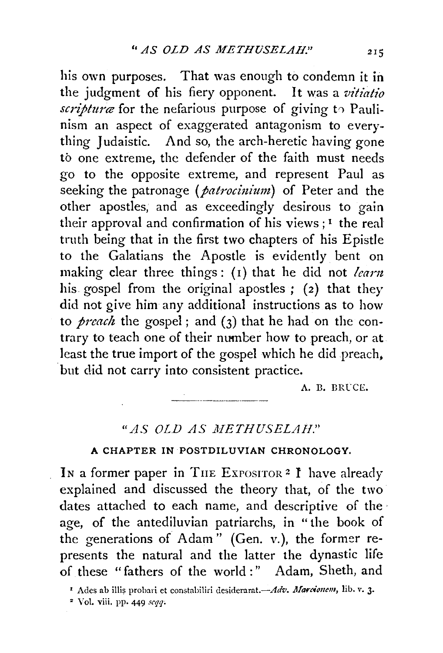his own purposes. That was enough to condemn it in the judgment of his fiery opponent. It was a *vitiatio scripturæ* for the nefarious purpose of giving to Paulinism an aspect of exaggerated antagonism to everything Judaistic. And so, the arch-heretic having gone to one extreme, the defender of the faith must needs go to the opposite extreme, and represent Paul as seeking the patronage (*patrocinium*) of Peter and the other apostles, and as exceedingly desirous to gain their approval and confirmation of his views  $;$ <sup>1</sup> the real truth being that in the first two chapters of his Epistle to the Galatians the Apostle is evidently bent on making clear three things: (1) that he did not *learn* his gospel from the original apostles ; (2) that they did not give him any additional instructions as to how to *preach* the gospel ; and (3) that he had on the contrary to teach one of their number how to preach, or at least the true import of the gospel which he did preach. but did not carry into consistent practice.

A. B. BRUCE.

## *"AS OLD AS li:IETHUSELAH."*

## A CHAPTER IN POSTDILUVlAN CHRONOLOGY.

In a former paper in THE EXPOSITOR<sup>2</sup> I have already explained and discussed the theory that, of the two dates attached to each name, and descriptive of theage, of the antediluvian patriarchs, in "the book of the generations of Adam" (Gen. v.), the former represents the natural and the latter the dynastic life of these "fathers of the world :" Adam, Sheth, and

• Y ol. viii. PP· 449 *scqq;* 

<sup>&</sup>lt;sup>1</sup> Ades ab illis probari et constabiliri desiderarat.- Adv. Marcionem, lib. v. 3.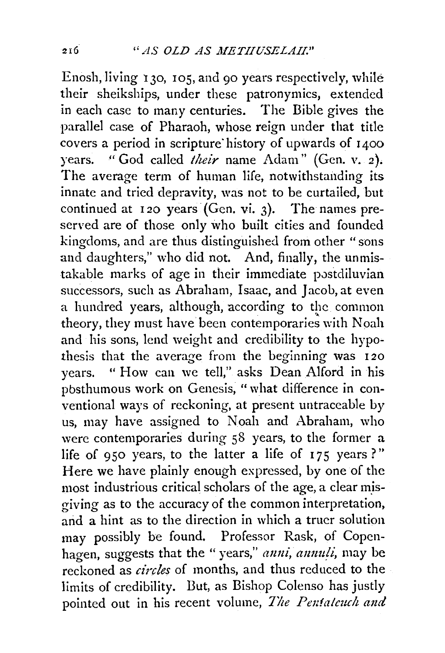Enosh, living 130, 105, and 90 years respectively, while their sheikships, under these patronymics, extended in each case to many centuries. The Bible gives the parallel case of Pharaoh, whose reign under that title covers a period in scripture history of upwards of 1400 years. "God called *their* name Adam" (Gen. v. 2). The average term of human life, notwithstanding its innate and tried depravity, was not to be curtailed, but continued at  $120$  years (Gen. vi. 3). The names preserved are of those only who built cities and founded kingdoms, and are thus distinguished from other " sons and daughters," who did not. And, finally, the unmistakable marks of age in their immediate postdiluvian successors, such as Abraham, Isaac, and Jacob, at even a hundred years, although, according to the common theory, they must have been contemporaries with Noah and his sons, lend weight and credibility to the hypothesis that the average from the beginning was I 20 years. " How can we tell," asks Dean Alford in his pbsthumous work on Genesis, "what difference in conventional ways of reckoning, at present untraceable by us, may have assigned to Noah and Abraham, who were contemporaries during 58 years, to the former a life of 950 years, to the latter a life of  $175$  years ?" Here we have plainly enough expressed, by one of the most industrious critical scholars of the age, a clear m\_isgiving as to the accuracy of the common interpretation, and a hint as to the direction in which a truer solution may possibly be found. Professor Rask, of Copenhagen, suggests that the "years," *mmi, amm!i,* may be reckoned as *circles* of months, and thus reduced to the limits of credibility. But, as Bishop Colenso has justly pointed out in his recent volume, *The Pentalcuch and*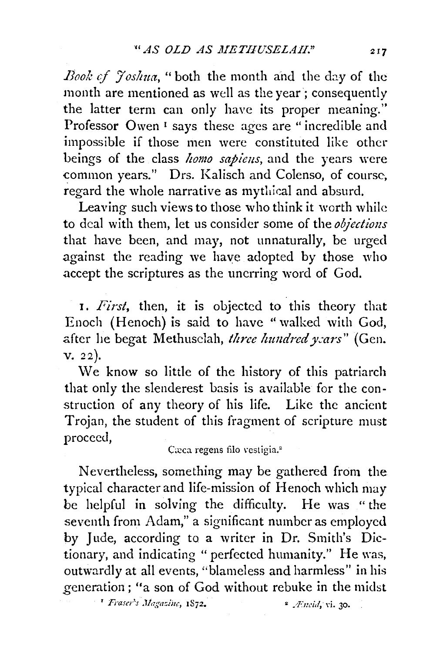*Book of Joshua*, "both the month and the day of the month are mentioned as well as the year; consequently the latter term can only have its proper meaning." Professor Owen<sup>1</sup> says these ages are "incredible and impossible if those men were constituted like other beings of the class *homo sapiens*, and the years were common years." Drs. Kalisch and Colenso, of course, regard the whole narrative as mytliical and absurd.

Leaving such views to those who think it worth while to deal with them, let us consider some of the *objections*  that have been, and may, not unnaturally, be urged against the reading we have adopted by those who accept the scriptures as the unerring word of God.

1. *First,* then, it is objected to this theory that Enoch (Henoch) is said to have "walked with God, after he begat Methusclah, *three hundred years*" (Gen. V. 22).

We know so little of the history of this patriarch that only the slenderest basis is available for the construction of any theory of his life. Like the ancient Trojan, the student of this fragment of scripture must proceed,

Cæca regens filo vestigia.<sup>2</sup>

Nevertheless, something may be gathered from the typical character and life-mission of Henoch which may be helpful in solving the difficulty. He was "the seventh from Adam," a significant number as employed by Jude, according to a writer in Dr. Smith's Dictionary, and indicating " perfected humanity." He was, outwardly at all events, "blameless and harmless" in his generation; "a son of God without rebuke in the midst

<sup>1</sup> Fraser's Magazine, **1872.** 

<sup>2</sup> *Æncid*, vi. 30.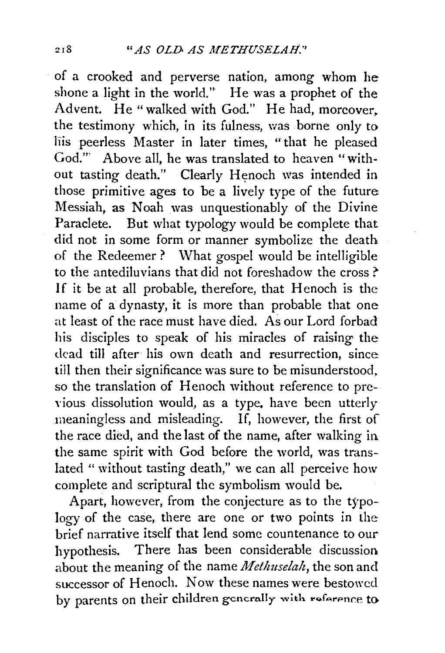of a crooked and perverse nation, among whom he shone a light in the world." He was a prophet of the Advent. He "walked with God." He had, moreover, the testimony which, in its fulness, was borne only to liis peerless Master in later times, "that he pleased God."' Above all, he was translated to heaven "without tasting death." Clearly Henoch was intended in those primitive ages to be a lively type of the future Messiah, as Noah was unquestionably of the Divine Paraclete. But what typology would be complete that did not in some form or manner symbolize the death of the Redeemer? What gospel would be intelligible to the antediluvians that did not foreshadow the cross ?' If it be at all probable, therefore, that Henoch is the name of a dynasty, it is more than probable that one at least of the race must have died. As our Lord forbad his disciples to speak of his miracles of raising the dead till after his own death and resurrection, since till then their significance was sure to be misunderstood, so the translation of Henoch without reference to previous dissolution would, as a type, have been utterly meaningless and misleading. If, however, the first of the race died, and the last of the name, after walking in the same spirit with God before the world, was translated "without tasting death," we can all perceive how complete and scriptural the symbolism would be.

Apart, however, from the conjecture as to the typology of the case, there are one or two points in the brief narrative itself that lend some countenance to our hypothesis. There has been considerable discussion. about the meaning of the name *Methuselah,* the son and successor of Henoch. Now these names were bestowed by parents on their children generally with reference to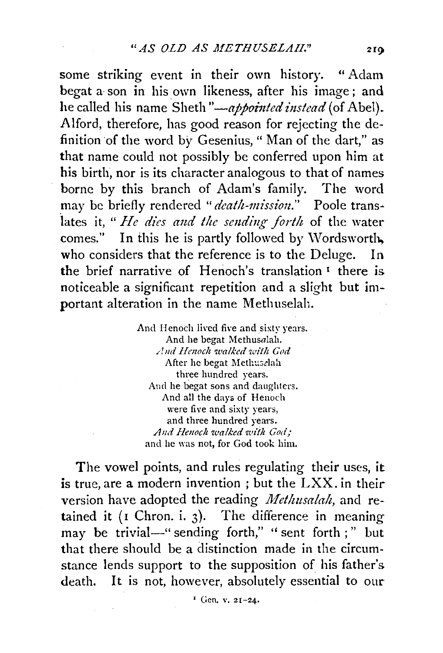some striking event in their own history. " Adam begat a son in his own likeness, after his image; and he called his name Sheth "-*appointed instead* (of Abel). Alford, therefore, has good reason for rejecting the definition of the word by Gesenius, " Man of the dart," as that name could not possibly be conferred upon him at his birth, nor is its character analogous to that of names borne by this branch of Adam's family. The word may be briefly rendered "death-mission." Poole translates it, "He dies and the sending forth of the water comes." In this he is partly followed by Wordsworth, who considers that the reference is to the Deluge. In the brief narrative of Henoch's translation<sup>1</sup> there is noticeable a significant repetition and a slight but important alteration in the name Methuselah.

> And Henoch lived five and sixty years. And he begat Methusalah. And Henoch walked with God After he begat Methuselah three hundred years. And he begat sons and daughters. And all the days of Henoch were five and sixty years, and three hundred years. *And Hmoc!t 1oalked zuit!t (7ody"*  and he was not, for God took him.

The vowel points, and rules regulating their uses, it is true, are a modern invention ; but the LXX. in their version have adopted the reading *Methusalah,* and retained it ( $I$  Chron. i. 3). The difference in meaning may be trivial-" sending forth," " sent forth ;" but that there should be a distinction made in the circumstance lends support to the supposition of his father's death. It is not, however, absolutely essential to our

' Gen. v. 21-24.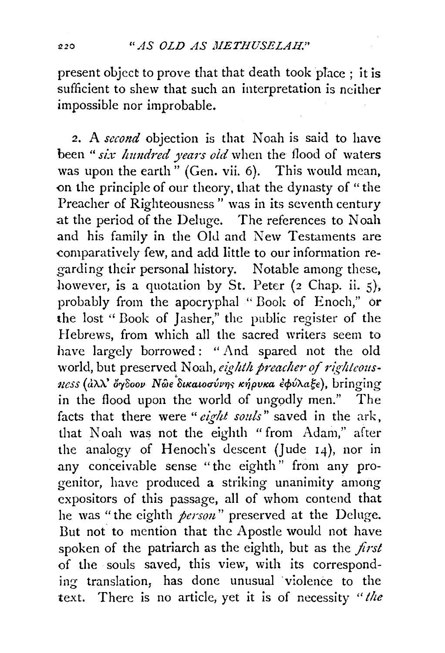present object to prove that that death took place ; it is sufficient to shew that such an interpretation is neither impossible nor improbable.

2. A *second* objection is that Noah is said to have been "six hundred years old when the flood of waters was upon the earth" (Gen. vii. 6). This would mean, on the principle of our theory, that the dynasty of "the Preacher of Righteousness" was in its seventh century at the period of the Deluge. The references to Noah and his family in the Old and New Testaments are comparatively few, and add little to our information regarding their personal history. Notable among these, however, is a quotation by St. Peter (2 Chap. ii. 5), probably from the apocryphal " Book of Enoch," or the lost "Book of Jasher," the public register of the Hebrews, from which all the sacred writers seem to have largely borrowed: "And spared not the old world, but preserved Noah, eighth preacher of righteousness (αλλ' όγδοον *Νωε δικαιοσύνης κήρυκα εφύλαξε*), bringing in the flood upon the world of ungodly men." The facts that there were *"eight souls"* saved in the ark, that Noah was not the eighth " from Adam," after the analogy of Henoch's descent (Jude 14), nor in any conceivable sense "the eighth" from any progenitor, have produced a striking unanimity among expositors of this passage, all of whom contend that he was "the eighth *person*" preserved at the Deluge. But not to mention that the Apostle would not have spoken of the patriarch as the eighth, but as the *first*  of the souls saved, this view, with its corresponding translation, has done unusual violence to the text. There is no article, yet it is of necessity *"the*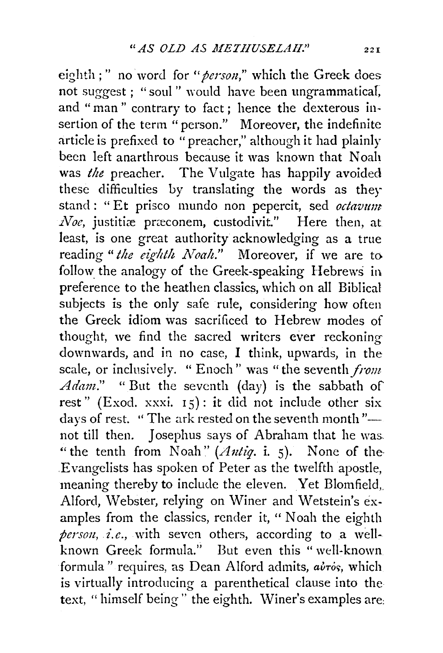eighth ; " no word for "*person*," which the Greek does not suggest ; "soul " would have been ungrammatical, and "man" contrary to fact; hence the dexterous insertion of the term "person." Moreover, the indefinite article is prefixed to "preacher," although it had plainly been left anarthrous because it was known that Noah was *the* preacher. The Vulgate has happily avoided these difficulties by translating the words as they stand : "Et prisco mundo non pepercit, sed *octavum Noe*, justitiæ præconem, custodivit." Here then, at least, is one great authority acknowledging as a true reading "the eighth Noah." Moreover, if we are to follow the analogy of the Greek-speaking Hebrews in preference to the heathen classics, which on all Biblical subjects is the only safe rule, considering how often the Greek idiom was sacrificed to Hebrew modes of thought, we find the sacred writers ever reckoning downwards, and in no case, I think, upwards, in the scale, or inclusively. " Enoch" was "the seventh *from*  Adam." " But the seventh (day) is the sabbath of rest" (Exod. xxxi.  $15$ ): it did not include other six days of rest. " The ark rested on the seventh month"not till then. Josephus says of Abraham that he was. "the tenth from Noah" (Antiq. i. 5). None of the-Evangelists has spoken of Peter as the twelfth apostle, meaning thereby to include the eleven. Yet Blomfield,. Alford, Webster, relying on Winer and Wetstein's examples from the classics, render it, " Noah the eighth person, *i.e.*, with seven others, according to a wellknown Greek formula." But even this "well-known formula" requires, as Dean Alford admits,  $a\dot{v}\dot{\ }$ , which is virtually introducing a parenthetical clause into the text, "himself being" the eighth. Winer's examples are: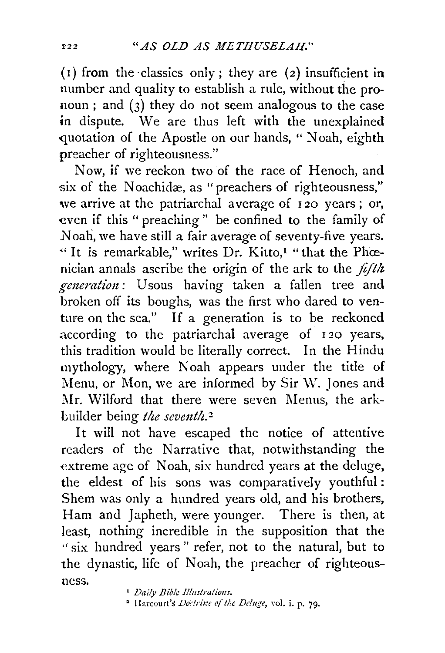( $i$ ) from the classics only; they are (2) insufficient in number and quality to establish a rule, without the pronoun ; and (3) they do not seem analogous to the case in dispute. We are thus left with the unexplained quotation of the Apostle on our hands, "Noah, eighth preacher of righteousness."

Now, if we reckon two of the race of Henoch, and six of the Noachidæ, as "preachers of righteousness," we arrive at the patriarchal average of 120 years; or, even if this " preaching " be confined to the family of Noah, we have still a fair average of seventy-five years. " It is remarkable," writes Dr. Kitto,<sup>1</sup> "that the Phœnician annals ascribe the origin of the ark to the *fifth.*  generation: Usous having taken a fallen tree and broken off its boughs, was the first who dared to venture on the sea." If a generation is to be reckoned .according to the patriarchal average of I 20 years, this tradition would be literally correct. In the Hindu mythology, where Noah appears under the title of Menu, or Mon, we are informed by Sir W. Jones and Mr. Wilford that there were seven Menus, the arkbuilder being *the seventh*.<sup>2</sup>

It will not have escaped the notice of attentive readers of the Narrative that, notwithstanding the extreme age of Noah, six hundred years at the deluge, the eldest of his sons was comparatively youthful: Shem was only a hundred years old, and his brothers, Ham and Japheth, were younger. There is then, at least, nothing incredible in the supposition that the "six hundred years" refer, not to the natural, but to the dynastic, life of Noah, the preacher of righteousness.

<sup>2</sup> Harcourt's *Doctrine of the Deluge*, vol. i. p. 79.

<sup>&</sup>lt;sup>1</sup> Daily Bible Illustrations.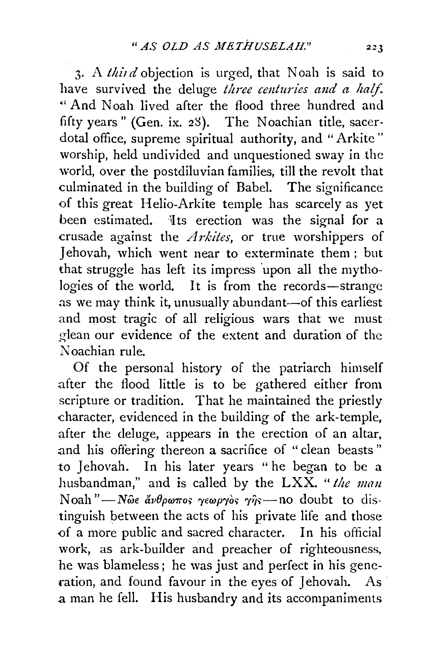3. A *third* objection is urged, that Noah is said to have survived the deluge *three centuries and a half*. "And Noah lived after the flood three hundred and fifty years" (Gen. ix. 28). The Noachian title, sacerdotal office, supreme spiritual authority, and "Arkite" worship, held undivided and unquestioned sway in the 'vorld, over the postdiluvian families, till the revolt that culminated in the building of Babel. The significance of this great Helio-Arkite temple has scarcely as yet been estimated. Its erection was the signal for a crusade against the *Arkites*, or true worshippers of Jehovah, which went near to exterminate them; but that struggle has left its impress upon all the mythologies of the world. It is from the records-strange as we may think it, unusually abundant-of this earliest and most tragic of all religious wars that we must glean our evidence of the extent and duration of the Noachian rule.

Of the personal history of the patriarch himself after the flood little is to be gathered either from scripture or tradition. That he maintained the priestly character, evidenced in the building of the ark-temple, after the deluge, appears in the erection of an altar, and his offering thereon a sacrifice of "clean beasts" to Jehovah. In his later years "he began to be a husbandman," and is called by the LXX. *"the man*   $N$ oah "-*N* $\omega \epsilon$   $\dot{\alpha} \nu \theta \rho \omega \pi$ os  $\gamma \epsilon \omega \rho \gamma \dot{\delta}$ s  $\gamma \hat{\eta}$ s -- no doubt to distinguish between the acts of his private life and those of a more public and sacred character. In his official work, as ark-builder and preacher of righteousness, he was blameless; he was just and perfect in his generation, and found favour in the eyes of Jehovah. As a man he fell. His husbandry and its accompaniments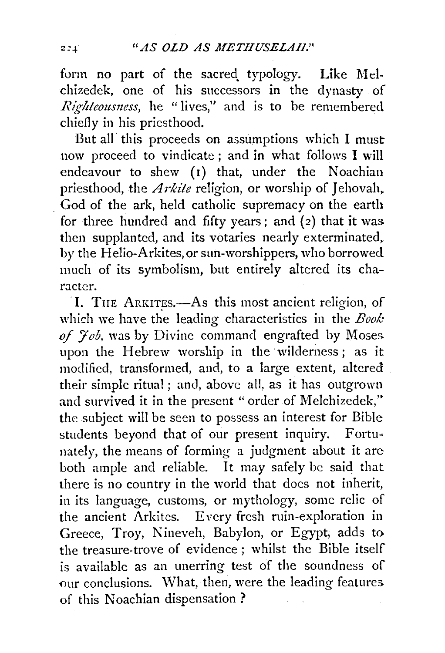form no part of the sacred typology. Like Melchizedek, one of his successors in the dynasty of *Righteousness*, he "lives," and is to be remembered chiefly in his priesthood.

But all this proceeds on assumptions which l must now proceed to vindicate; and in what follows I will endeavour to shew  $(r)$  that, under the Noachian priesthood, the *Arkite* religion, or worship of Jehovah, . God of the ark, held catholic supremacy on the earth for three hundred and fifty years; and  $(2)$  that it was then supplanted, and its votaries nearly exterminated. by the Helio-Arkites, or sun-worshippers, who borrowed much of its symbolism, but entirely altered its character.

I. THE ARKITES.-As this most ancient religion, of which we have the leading characteristics in the *Book* of  $7$ *ob*, was by Divine command engrafted by Moses upon the Hebrew worship in the 'wilderness; as it modified, transformed, and, to a large extent, altered their simple ritual ; and, above all, as it has outgrown and survived it in the present "order of Melchizedek," the subject will be seen to possess an interest for Bible students beyond that of our present inquiry. Fortunately, the means of forming a judgment about it arc both ample and reliable. It may safely be said that there is no country in the world that does not inherit, in its language, customs, or mythology, some relic of the ancient Arkites. Every fresh ruin-exploration in Greece, Troy, Nineveh, Babylon, or Egypt, adds to the treasure-trove of evidence ; whilst the Bible itself is available as an unerring test of the soundness of our conclusions. What, then, were the leading features of this Noachian dispensation?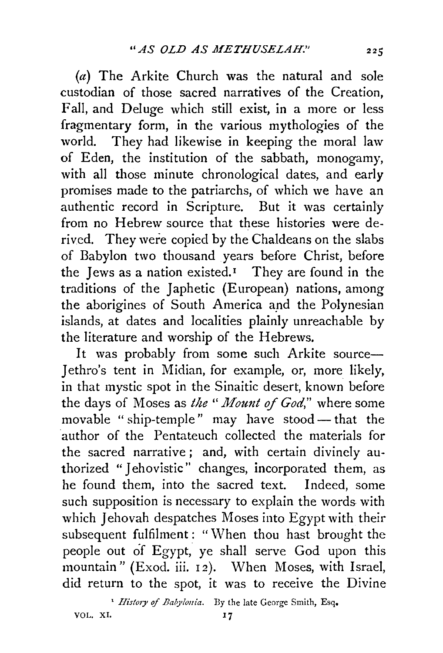(a) The Arkite Church was the natural and sole custodian of those sacred narratives of the Creation, Fall, and Deluge which still exist, in a more or less fragmentary form, in the various mythologies of the world. They had likewise in keeping the moral law of Eden, the institution of the sabbath, monogamy, with all those minute chronological dates, and early promises made to the patriarchs, of which we have an authentic record in Scripture. But it was certainly from no Hebrew source that these histories were derived. They were copied by the Chaldeans on the slabs of Babylon two thousand years before Christ, before the Jews as a nation existed.<sup> $I$ </sup> They are found in the traditions of the Japhetic (European) nations, among the aborigines of South America and the Polynesian islands, at dates and localities plainly unreachable by the literature and worship of the Hebrews.

It was probably from some such Arkite source-Jethro's tent in Midian, for example, or, more likely, in that mystic spot in the Sinaitic desert, known before the days of Moses as *the "Mount of God*," where some movable "ship-temple" may have stood - that the author of the Pentateuch collected the materials for the sacred narrative ; and, with certain divinely authorized "Jehovistic" changes, incorporated them, as he found them, into the sacred text. Indeed, some such supposition is necessary to explain the words with which Jehovah despatches Moses into Egypt with their subsequent fulfilment : "When thou hast brought the people out of Egypt, ye shall serve God upon this mountain" (Exod. iii. 12). When Moses, with Israel, did return to the spot, it was to receive the Divine

<sup>1</sup> *History of Babylonia*. By the late George Smith, Esq.

VOL. XI. 17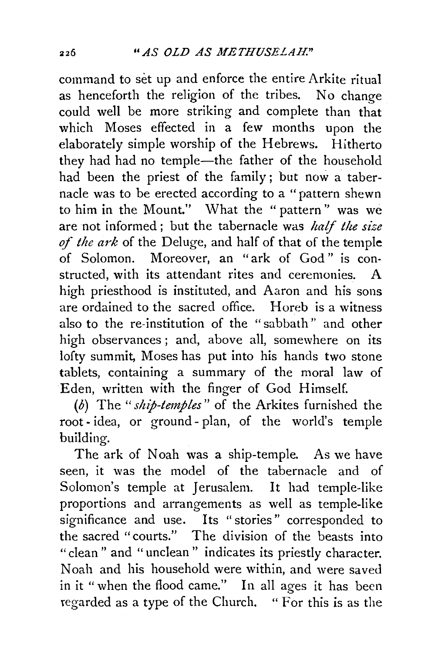command to set up and enforce the entire Arkite ritual as henceforth the religion of the tribes. No change could well be more striking and complete than that which Moses effected in a few months upon the elaborately simple worship of the Hebrews. Hitherto they had had no temple-the father of the household had been the priest of the family ; but now a tabernacle was to be erected according to a "pattern shewn to him in the Mount." What the " pattern'' was we are not informed ; but the tabernacle was *half the size of the ark* of the Deluge, and half of that of the temple of Solomon. Moreover, an "ark of God " is constructed, with its attendant rites and ceremonies. A high priesthood is instituted, and Aaron and his sons are ordained to the sacred office. Horeb is a witness also to the re-institution of the "sabbath" and other high observances ; and, above all, somewhere on its lofty summit, Moses has put into his hands two stone tablets, containing a summary of the moral law of Eden, written with the finger of God Himself.

(b) The *"ship-temples"* of the Arkites furnished the root- idea, or ground- plan, of the world's temple building.

The ark of Noah was a ship-temple. As we have seen, it was the model of the tabernacle and of Solomon's temple at Jerusalem. It had temple-like proportions and arrangements as well as temple-like significance and use. Its "stories" corresponded to the sacred "courts." The division of the beasts into "clean" and "unclean" indicates its priestly character. Noah and his household were within, and were saved in it "when the flood came." In all ages it has been regarded as a type of the Church. " For this is as the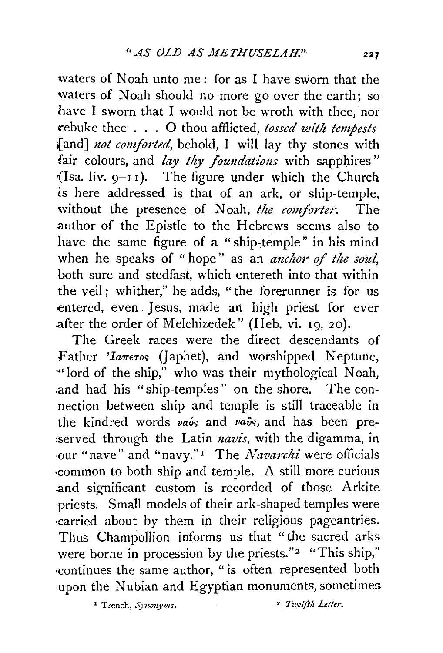waters of Noah unto me: for as I have sworn that the waters of Noah should no more go over the earth; so have I sworn that I would not be wroth with thee, nor rebuke thee . . . 0 thou afflicted, *tossed with tempests*  fand] *not comforted*, behold, I will lay thy stones with fair colours, and *lay thy foundations* with sapphires"  ${$ [Isa. liv. 9-11].} The figure under which the Church as here addressed is that of an ark, *ot* ship-temple, without the presence of Noah, the comforter. The author of the Epistle to the Hebrews seems also to have the same figure of a "ship-temple" in his mind when he speaks of "hope" as an *anchor of the soul*, both sure and stedfast, which entereth into that within the veil ; whither," he adds, "the forerunner is for us entered, even Jesus, made an high priest for ever .after the order of Melchizedek" (Heb. vi. 19, 20).

The Greek races were the direct descendants of Father 'Iaπετος (Japhet), and worshipped Neptune, "lord of the ship," who was their mythological Noah, .and had his "ship-temples" on the shore. The connection between ship and temple is still traceable in the kindred words *vaos* and *vavs*, and has been preserved through the Latin *navis*, with the digamma, in our "nave" and "navy." 1 The *Navarchi* were officials ·common to both ship and temple. A still more curious .and significant custom is recorded of those Arkite priests. Small models of their ark-shaped temples were ·carried about by them in their religious pageantries. Thus Champollion informs us that "the sacred arks were borne in procession by the priests."<sup>2</sup> "This ship," ·continues the same author, " is often represented both upon the Nubian and Egyptian monuments, sometimes

<sup>2</sup> Trench, *Synonyms*. <sup>2</sup> *Twelfth Letter*.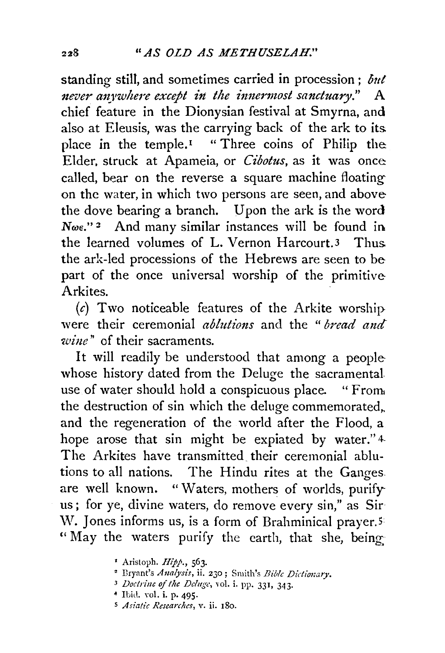standing still, and sometimes carried in procession; *out never anywhere except in the innermost sanctuary.*" A chief feature in the Dionysian festival at Smyrna, and also at Eleusis, was the carrying back of the ark to its place in the temple.<sup> $1$ </sup> "Three coins of Philip the: Elder. struck at Apameia, or *Cibotus,* as it was once: called, bear on the reverse a square machine floating on the water, in which two persons are seen, and above the dove bearing a branch. Upon the ark is the word  $N\omega \epsilon$ ."<sup>2</sup> And many similar instances will be found in. the learned volumes of L. Vernon Harcourt.3 Thus the ark-led processions of the Hebrews are seen to be part of the once universal worship of the primitive Arkites.

 $(c)$  Two noticeable features of the Arkite worship were their ceremonial *ablutions* and the "*bread and wine"* of their sacraments.

It will readily be understood that among a people whose history dated from the Deluge the sacramental use of water should hold a conspicuous place. "From the destruction of sin which the deluge commemorated,. and the regeneration of the world after the Flood, a hope arose that sin might be expiated by water."4-The Arkites have transmitted their ceremonial ablutions to all nations. The Hindu rites at the Ganges. are well known. "Waters, mothers of worlds, purify us; for ye, divine waters, do remove every sin," as Sir W. Jones informs us, is a form of Brahminical prayer.<sup>5</sup> " May the waters purify the earth, that she, being

- Aristoph. Hipp., 563. 2 !lryant's *Analysis,* ii. 230; Smith's *Bible Dictionary.*
- *3 Doctrine ojthe Deluge,* vol. i. pp. 331, 343· 4 Ibid. YOl. i. P· 495·
- 
- s *Asiatic Researches,* v. ii. 180.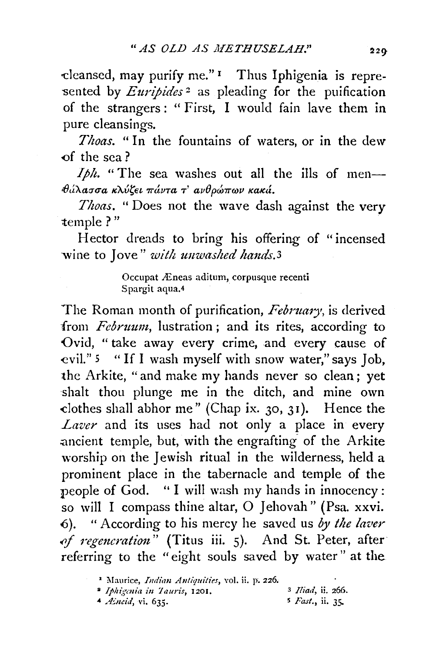'Cleansed, may purify me." 1 Thus Iphigenia is repre sented by *Euripides*<sup>2</sup> as pleading for the puification of the strangers: "First, I would fain lave them in pure cleansings.

*Thoas.* "In the fountains of waters, or in the dew -of the sea?

*Iph.* "The sea washes out all the ills of men*θάλασσα κλύζει πάντα τ' ανθρώπων κακά.* 

*Thoas.* "Does not the wave dash against the very temple?"

Hector dreads to bring his offering of "incensed wine to Jove" *with unwashed hands.3* 

> Occupat Æneas aditum, corpusque recenti Spargit aqua.4

The Roman month of purification, *February,* is derived from *Februum,* lustration ; and its rites, according to Ovid, " take away every crime, and every cause of -evil." 5 " If I wash myself with snow water," says Job, the Arkite, "and make my hands never so clean ; yet shalt thou plunge me in the ditch, and mine own -clothes shall abhor me" (Chap ix. 30, 31 ). Hence the *Laver* and its uses had not only a place in every ancient temple, but, with the engrafting of the Arkite worship on the Jewish ritual in the wilderness, held a prominent place in the tabernacle and temple of the people of God. '' I will wash my hands in innocency : so will I compass thine altar, 0 Jehovah" (Psa. xxvi. 6). "According to his mercy he saved us by the laver of regeneration" (Titus iii. 5). And St. Peter, after referring to the "eight souls saved by water" at the

-4 */Eneid,* vi. 635. 5 *Fast.,* ii. 3.5-

<sup>&</sup>lt;sup>2</sup> Maurice, *Indian Antiquities*, vol. ii. p. 226.

<sup>•</sup> *Ij>li(;mitl ill ]auris,* 1201. 3 *Iliad,* ii. 266.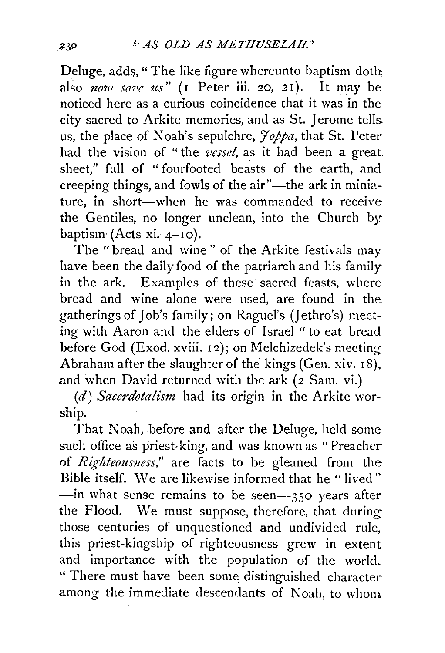Deluge, adds, "The like figure whereunto baptism doth. also *now save us*" (1 Peter iii. 20, 21). It may be noticed here as a curious coincidence that it was in the city sacred to Arkite memories, and as St. Jerome tells. us, the place of Noah's sepulchre,  $\widetilde{\gamma}$ oppa, that St. Peter had the vision of " the *vessel,* as it had been a great sheet," full of "fourfooted beasts of the earth, and creeping things, and fowls of the air"-the ark in miniature, in short-when he was commanded to receive the Gentiles, no longer unclean, into the Church bybaptism (Acts xi.  $4-10$ ).

The "bread and wine" of the Arkite festivals may have been the daily food of the patriarch and his family in the ark. Examples of these sacred feasts, where bread and wine alone were used, are found in the. gatherings of Job's family; on Raguel's (Jethro's) meeting with Aaron and the elders of Israel " to eat bread before God (Exod. xviii. 12); on Melchizedek's meeting Abraham after the slaughter of the kings (Gen. xiv.  $18$ ). and when David returned with the ark (2 Sam. vi.)

*(d) Sacerdotalism* had its origin in the Arkite worship.

That Noah, before and after the Deluge, held some such office as priest-king, and was known as "Preacher of *Righteousness*," are facts to be gleaned from the Bible itself. We are likewise informed that he "lived" --in what sense remains to be seen--350 years after the Flood. We must suppose, therefore, that duringthose centuries of unquestioned and undivided rule, this priest-kingship of righteousness grew in extent and importance with the population of the world. " There must have been some distinguished characteramong the immediate descendants of Noah, to whom.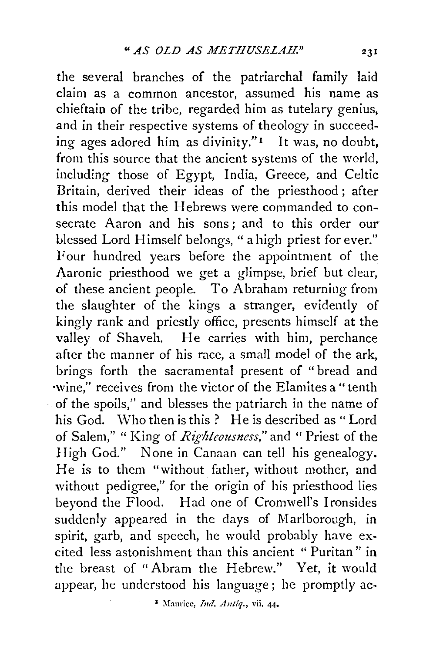the several branches of the patriarchal family laid claim as a common ancestor, assumed his name as chieftain of the tribe, regarded him as tutelary genius, and in their respective systems of theology in succeeding ages adored him as divinity." $\frac{1}{1}$  It was, no doubt, from this source that the ancient systems of the world, including those of Egypt, India, Greece, and Celtic Britain, derived their ideas of the priesthood; after this model that the Hebrews were commanded to consecrate Aaron and his sons; and to this order our blessed Lord Himself belongs, " a high priest for ever." Four hundred years before the appointment of the Aaronic priesthood we get a glimpse, brief but clear, of these ancient people. To Abraham returning from the slaughter of the kings a stranger, evidently of kingly rank and priestly office, presents himself at the valley of Shaveh. He carries with him, perchance after the manner of his race, a small model of the ark, brings forth the sacramental present of "bread and ·wine," receives from the victor of the Elamites a" tenth of the spoils," and blesses the patriarch in the name of his God. Who then is this ? He is described as "Lord of Salem," " King of *Righteousness,"* and " Priest of the High God." None in Canaan can tell his genealogy. He is to them "without father, without mother, and without pedigree," for the origin of his priesthood lies beyond the Flood. Had one of Cromwell's Ironsides suddenly appeared in the days of Marlborough, in spirit, garb, and speech, he would probably have excited less astonishment than this ancient " Puritan" in the breast of "Abram the Hebrew." Yet, it would appear, he understood his language; he promptly ac-

• Maurice, *btd. Antiq.,* vii. 44•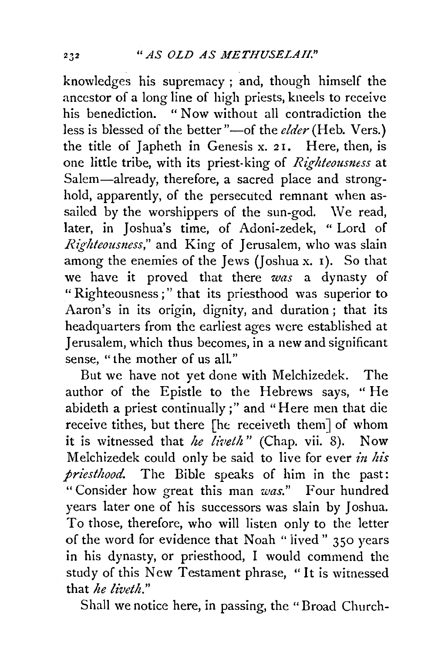knowledges his supremacy ; and, though himself the ancestor of a long line of high priests, kneels to receive his benediction. " Now without all contradiction the less is blessed of the better "-of the *elder* (Heb. Vers.) the title of Japheth in Genesis x. 21. Here, then, is one little tribe, with its priest-king of *Righteousmss* at Salem-already, therefore, a sacred place and stronghold, apparently, of the persecuted remnant when assailed by the worshippers of the sun-god. We read, later, in Joshua's time, of Adoni-zedek, " Lord of *Righteousness*," and King of Jerusalem, who was slain among the enemies of the Jews (Joshua x. I). So that we have it proved that there *was* a dynasty of " Righteousness ; " that its priesthood was superior to Aaron's in its origin, dignity, and duration ; that its headquarters from the earliest ages were established at Jerusalem, which thus becomes, in a new and significant sense, "the mother of us all."

But we have not yet done with Melchizedek. The author of the Epistle to the Hebrews says, " He abideth a priest continually;" and "Here men that die receive tithes, but there [he receiveth them] of whom it is witnessed that *he liveth*" (Chap. vii. 8). Now Melchizedek could only be said to live for ever *in his priesthood.* The Bible speaks of him in the past: "Consider how great this man *was."* Four hundred years later one of his successors was slain by Joshua. To those, therefore, who will listen only to the letter of the word for evidence that Noah "iived" 350 years in his dynasty, or priesthood, I would commend the study of this New Testament phrase, "It is witnessed that *he liveth."* 

Shall we notice here, in passing, the "Broad Church-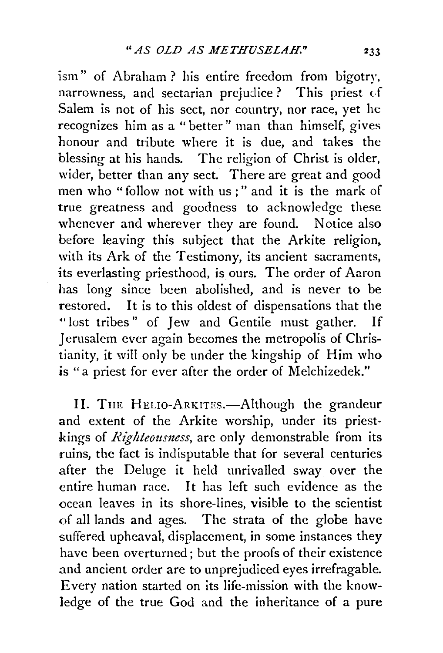ism" of Abraham? his entire freedom from bigotry, narrowness, and sectarian prejudice? This priest *d*  Salem is not of his sect, nor country, nor race, yet he recognizes him as a "better" man than himself, gives honour and tribute where it is due, and takes the blessing at his hands. The religion of Christ is older, wider, better than any sect. There are great and good men who "follow not with us;" and it is the mark of true greatness and goodness to acknowledge these whenever and wherever they are found. Notice also before leaving this subject that the Arkite religion, with its Ark of the Testimony, its ancient sacraments, its everlasting priesthood, is ours. The order of Aaron has long since been abolished, and is never to be restored. It is to this oldest of dispensations that the "lost tribes" of Jew and Gentile must gather. If Jerusalem ever again becomes the metropolis of Christianity, it will only be under the kingship of Him who is "a priest for ever after the order of Melchizedek."

II. THE HELIO-ARKITES.—Although the grandeur and extent of the Arkite worship, under its priestkings of *Righteousness*, are only demonstrable from its ruins, the fact is indisputable that for several centuries .after the Deluge it held unrivalled sway over the entire human race. It has left such evidence as the ocean leaves in its shore-lines, visible to the scientist of all lands and ages. The strata of the globe have suffered upheaval, displacement, in some instances they have been overturned; but the proofs of their existence and ancient order are to unprejudiced eyes irrefragable. Every nation started on its life-mission with the knowledge of the true God and the inheritance of a pure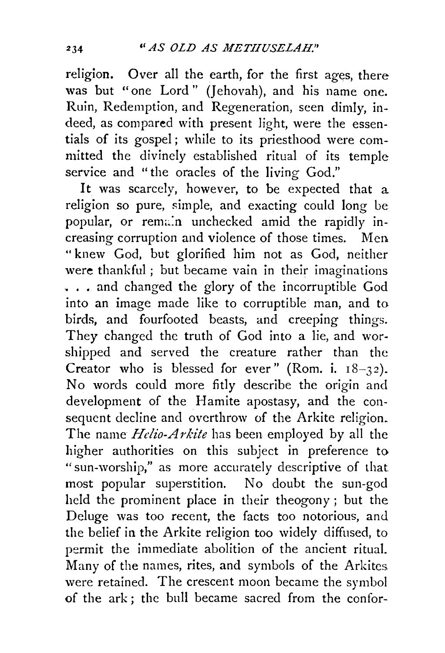religion. Over all the earth, for the first ages, there was but "one Lord" (Jehovah), and his name one. Ruin, Redemption, and Regeneration, seen dimly, indeed, as compared with present light, were the essentials of its gospel; while to its priesthood were committed the divinely established ritual of its temple service and "the oracles of the living God."

It was scarcely, however, to be expected that a religion so pure, simple, and exacting could long be popular, or remain unchecked amid the rapidly increasing corruption and violence of those times. Men " knew God, but glorified him not as God, neither were thankful ; but became vain in their imaginations ... and changed the glory of the incorruptible God into an image made like to corruptible man, and to birds, and fourfooted beasts, and creeping things. They changed the truth of God into a lie, and worshipped and served the creature rather than the Creator who is blessed for ever" (Rom. i.  $18-32$ ). No words could more fitly describe the origin and development of the Hamite apostasy, and the consequent decline and overthrow of the Arkite religion. The name *Helio-Arkite* has been employed by all the higher authorities on this subject in preference to "sun-worship," as more accurately descriptive of that most popular superstition. No doubt the sun-god held the prominent place in their theogony ; but the Deluge was too recent, the facts too notorious, and the belief in the Arkite religion too widely diffused, to permit the immediate abolition of the ancient ritual. Many of the names, rites, and symbols of the Arkites. were retained. The crescent moon became the symbol of the ark ; the bull became sacred from the confor-

234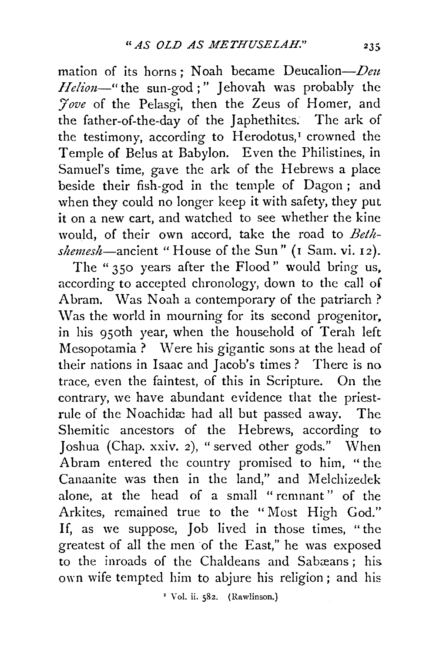mation of its horns; Noah became Deucalion- $Deu$ Helion-" the sun-god;" Jehovah was probably the *'7ove* of the Pelasgi, then the Zeus of Homer, and the father-of-the-day of the Japhethites. The ark of the testimony, according to Herodotus,<sup>I</sup> crowned the Temple of Belus at Babylon. Even the Philistines, in Samuel's time, gave the ark of the Hebrews a place beside their fish-god in the temple of Dagon ; and when they could no longer keep it with safety, they put it on a new cart, and watched to see whether the kine would, of their own accord, take the road to Bethshemesh-ancient "House of the Sun" (1 Sam. vi. 12).

The "350 years after the Flood" would bring us, according to accepted chronology, down to the call of Abram. Was Noah a contemporary of the patriarch? Was the world in mourning for its second progenitor. in his 950th year, when the household of Terah left Mesopotamia ? Were his gigantic sons at the head of their nations in Isaac and Jacob's times? There is no trace, even the faintest, of this in Scripture. On the contrary, we have abundant evidence that the priestrule of the Noachidæ had all but passed away. The Shemitic ancestors of the Hebrews, according to Joshua (Chap. xxiv. 2), "served other gods." When Abram entered the country promised to him, "the Canaanite was then in the land," and Melchizedek alone, at the head of a small "remnant" of the Arkites, remained true to the "Most High God." If, as we suppose, Job lived in those times, "the greatest of all the men of the East," he was exposed to the inroads of the Chaldeans and Sabæans: his own wife tempted him to abjure his religion; and his

' Vol. ii. 582. (Rawlinson.)